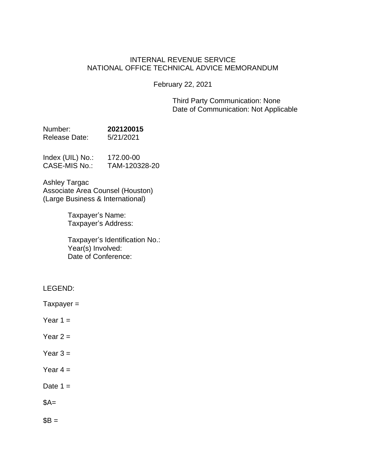# INTERNAL REVENUE SERVICE NATIONAL OFFICE TECHNICAL ADVICE MEMORANDUM

February 22, 2021

Third Party Communication: None Date of Communication: Not Applicable

| Number:       | 202120015 |
|---------------|-----------|
| Release Date: | 5/21/2021 |

| Index (UIL) No.: | 172.00-00     |
|------------------|---------------|
| CASE-MIS No.:    | TAM-120328-20 |

Ashley Targac Associate Area Counsel (Houston) (Large Business & International)

> Taxpayer's Name: Taxpayer's Address:

Taxpayer's Identification No.: Year(s) Involved: Date of Conference:

LEGEND:

 $T$ axpayer =

- Year  $1 =$
- Year  $2 =$
- Year  $3 =$
- Year  $4 =$
- Date  $1 =$

 $$A=$ 

 $$B =$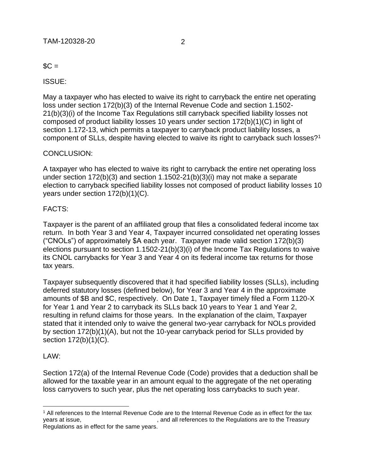$SC =$ 

ISSUE:

May a taxpayer who has elected to waive its right to carryback the entire net operating loss under section 172(b)(3) of the Internal Revenue Code and section 1.1502- 21(b)(3)(i) of the Income Tax Regulations still carryback specified liability losses not composed of product liability losses 10 years under section 172(b)(1)(C) in light of section 1.172-13, which permits a taxpayer to carryback product liability losses, a component of SLLs, despite having elected to waive its right to carryback such losses?<sup>1</sup>

## CONCLUSION:

A taxpayer who has elected to waive its right to carryback the entire net operating loss under section 172(b)(3) and section 1.1502-21(b)(3)(i) may not make a separate election to carryback specified liability losses not composed of product liability losses 10 years under section 172(b)(1)(C).

## FACTS:

Taxpayer is the parent of an affiliated group that files a consolidated federal income tax return. In both Year 3 and Year 4, Taxpayer incurred consolidated net operating losses ("CNOLs") of approximately \$A each year. Taxpayer made valid section 172(b)(3) elections pursuant to section 1.1502-21(b)(3)(i) of the Income Tax Regulations to waive its CNOL carrybacks for Year 3 and Year 4 on its federal income tax returns for those tax years.

Taxpayer subsequently discovered that it had specified liability losses (SLLs), including deferred statutory losses (defined below), for Year 3 and Year 4 in the approximate amounts of \$B and \$C, respectively. On Date 1, Taxpayer timely filed a Form 1120-X for Year 1 and Year 2 to carryback its SLLs back 10 years to Year 1 and Year 2, resulting in refund claims for those years. In the explanation of the claim, Taxpayer stated that it intended only to waive the general two-year carryback for NOLs provided by section 172(b)(1)(A), but not the 10-year carryback period for SLLs provided by section  $172(b)(1)(C)$ .

#### LAW:

Section 172(a) of the Internal Revenue Code (Code) provides that a deduction shall be allowed for the taxable year in an amount equal to the aggregate of the net operating loss carryovers to such year, plus the net operating loss carrybacks to such year.

<sup>&</sup>lt;sup>1</sup> All references to the Internal Revenue Code are to the Internal Revenue Code as in effect for the tax years at issue,<br>and all references to the Regulations are to the Treasury, , and all references to the Regulations are to the Treasury Regulations as in effect for the same years.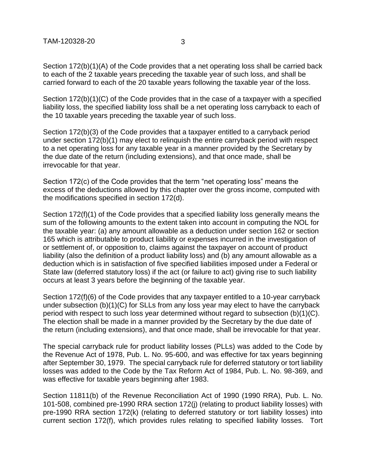Section 172(b)(1)(A) of the Code provides that a net operating loss shall be carried back to each of the 2 taxable years preceding the taxable year of such loss, and shall be carried forward to each of the 20 taxable years following the taxable year of the loss.

Section 172(b)(1)(C) of the Code provides that in the case of a taxpayer with a specified liability loss, the specified liability loss shall be a net operating loss carryback to each of the 10 taxable years preceding the taxable year of such loss.

Section 172(b)(3) of the Code provides that a taxpayer entitled to a carryback period under section 172(b)(1) may elect to relinquish the entire carryback period with respect to a net operating loss for any taxable year in a manner provided by the Secretary by the due date of the return (including extensions), and that once made, shall be irrevocable for that year.

Section 172(c) of the Code provides that the term "net operating loss" means the excess of the deductions allowed by this chapter over the gross income, computed with the modifications specified in section 172(d).

Section 172(f)(1) of the Code provides that a specified liability loss generally means the sum of the following amounts to the extent taken into account in computing the NOL for the taxable year: (a) any amount allowable as a deduction under section 162 or section 165 which is attributable to product liability or expenses incurred in the investigation of or settlement of, or opposition to, claims against the taxpayer on account of product liability (also the definition of a product liability loss) and (b) any amount allowable as a deduction which is in satisfaction of five specified liabilities imposed under a Federal or State law (deferred statutory loss) if the act (or failure to act) giving rise to such liability occurs at least 3 years before the beginning of the taxable year.

Section 172(f)(6) of the Code provides that any taxpayer entitled to a 10-year carryback under subsection (b)(1)(C) for SLLs from any loss year may elect to have the carryback period with respect to such loss year determined without regard to subsection (b)(1)(C). The election shall be made in a manner provided by the Secretary by the due date of the return (including extensions), and that once made, shall be irrevocable for that year.

The special carryback rule for product liability losses (PLLs) was added to the Code by the Revenue Act of 1978, Pub. L. No. 95-600, and was effective for tax years beginning after September 30, 1979. The special carryback rule for deferred statutory or tort liability losses was added to the Code by the Tax Reform Act of 1984, Pub. L. No. 98-369, and was effective for taxable years beginning after 1983.

Section 11811(b) of the Revenue Reconciliation Act of 1990 (1990 RRA), Pub. L. No. 101-508, combined pre-1990 RRA section 172(j) (relating to product liability losses) with pre-1990 RRA section 172(k) (relating to deferred statutory or tort liability losses) into current section 172(f), which provides rules relating to specified liability losses. Tort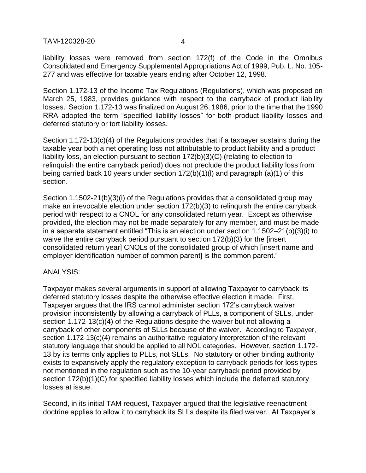TAM-120328-20 4

liability losses were removed from section 172(f) of the Code in the Omnibus Consolidated and Emergency Supplemental Appropriations Act of 1999, Pub. L. No. 105- 277 and was effective for taxable years ending after October 12, 1998.

Section 1.172-13 of the Income Tax Regulations (Regulations), which was proposed on March 25, 1983, provides guidance with respect to the carryback of product liability losses. Section 1.172-13 was finalized on August 26, 1986, prior to the time that the 1990 RRA adopted the term "specified liability losses" for both product liability losses and deferred statutory or tort liability losses.

Section 1.172-13(c)(4) of the Regulations provides that if a taxpayer sustains during the taxable year both a net operating loss not attributable to product liability and a product liability loss, an election pursuant to section 172(b)(3)(C) (relating to election to relinquish the entire carryback period) does not preclude the product liability loss from being carried back 10 years under section 172(b)(1)(l) and paragraph (a)(1) of this section.

Section 1.1502-21(b)(3)(i) of the Regulations provides that a consolidated group may make an irrevocable election under section 172(b)(3) to relinquish the entire carryback period with respect to a CNOL for any consolidated return year. Except as otherwise provided, the election may not be made separately for any member, and must be made in a separate statement entitled "This is an election under section 1.1502–21(b)(3)(i) to waive the entire carryback period pursuant to section 172(b)(3) for the [insert consolidated return year] CNOLs of the consolidated group of which [insert name and employer identification number of common parent] is the common parent."

#### ANALYSIS:

Taxpayer makes several arguments in support of allowing Taxpayer to carryback its deferred statutory losses despite the otherwise effective election it made. First, Taxpayer argues that the IRS cannot administer section 172's carryback waiver provision inconsistently by allowing a carryback of PLLs, a component of SLLs, under section 1.172-13(c)(4) of the Regulations despite the waiver but not allowing a carryback of other components of SLLs because of the waiver. According to Taxpayer, section 1.172-13(c)(4) remains an authoritative regulatory interpretation of the relevant statutory language that should be applied to all NOL categories. However, section 1.172- 13 by its terms only applies to PLLs, not SLLs. No statutory or other binding authority exists to expansively apply the regulatory exception to carryback periods for loss types not mentioned in the regulation such as the 10-year carryback period provided by section 172(b)(1)(C) for specified liability losses which include the deferred statutory losses at issue.

Second, in its initial TAM request, Taxpayer argued that the legislative reenactment doctrine applies to allow it to carryback its SLLs despite its filed waiver. At Taxpayer's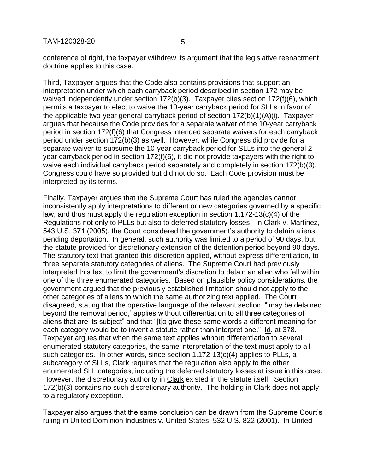conference of right, the taxpayer withdrew its argument that the legislative reenactment doctrine applies to this case.

Third, Taxpayer argues that the Code also contains provisions that support an interpretation under which each carryback period described in section 172 may be waived independently under section 172(b)(3). Taxpayer cites section 172(f)(6), which permits a taxpayer to elect to waive the 10-year carryback period for SLLs in favor of the applicable two-year general carryback period of section 172(b)(1)(A)(i). Taxpayer argues that because the Code provides for a separate waiver of the 10-year carryback period in section 172(f)(6) that Congress intended separate waivers for each carryback period under section 172(b)(3) as well. However, while Congress did provide for a separate waiver to subsume the 10-year carryback period for SLLs into the general 2 year carryback period in section 172(f)(6), it did not provide taxpayers with the right to waive each individual carryback period separately and completely in section 172(b)(3). Congress could have so provided but did not do so. Each Code provision must be interpreted by its terms.

Finally, Taxpayer argues that the Supreme Court has ruled the agencies cannot inconsistently apply interpretations to different or new categories governed by a specific law, and thus must apply the regulation exception in section 1.172-13(c)(4) of the Regulations not only to PLLs but also to deferred statutory losses. In Clark v. Martinez, 543 U.S. 371 (2005), the Court considered the government's authority to detain aliens pending deportation. In general, such authority was limited to a period of 90 days, but the statute provided for discretionary extension of the detention period beyond 90 days. The statutory text that granted this discretion applied, without express differentiation, to three separate statutory categories of aliens. The Supreme Court had previously interpreted this text to limit the government's discretion to detain an alien who fell within one of the three enumerated categories. Based on plausible policy considerations, the government argued that the previously established limitation should not apply to the other categories of aliens to which the same authorizing text applied. The Court disagreed, stating that the operative language of the relevant section, "'may be detained beyond the removal period,' applies without differentiation to all three categories of aliens that are its subject" and that "[t]o give these same words a different meaning for each category would be to invent a statute rather than interpret one." Id. at 378. Taxpayer argues that when the same text applies without differentiation to several enumerated statutory categories, the same interpretation of the text must apply to all such categories. In other words, since section 1.172-13(c)(4) applies to PLLs, a subcategory of SLLs, Clark requires that the regulation also apply to the other enumerated SLL categories, including the deferred statutory losses at issue in this case. However, the discretionary authority in Clark existed in the statute itself. Section 172(b)(3) contains no such discretionary authority. The holding in Clark does not apply to a regulatory exception.

Taxpayer also argues that the same conclusion can be drawn from the Supreme Court's ruling in United Dominion Industries v. United States, 532 U.S. 822 (2001). In United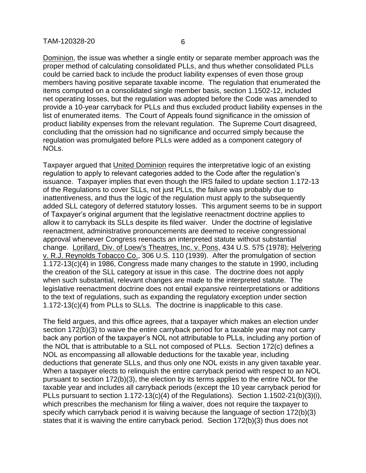Dominion, the issue was whether a single entity or separate member approach was the proper method of calculating consolidated PLLs, and thus whether consolidated PLLs could be carried back to include the product liability expenses of even those group members having positive separate taxable income. The regulation that enumerated the items computed on a consolidated single member basis, section 1.1502-12, included net operating losses, but the regulation was adopted before the Code was amended to provide a 10-year carryback for PLLs and thus excluded product liability expenses in the list of enumerated items. The Court of Appeals found significance in the omission of product liability expenses from the relevant regulation. The Supreme Court disagreed, concluding that the omission had no significance and occurred simply because the regulation was promulgated before PLLs were added as a component category of NOLs.

Taxpayer argued that United Dominion requires the interpretative logic of an existing regulation to apply to relevant categories added to the Code after the regulation's issuance. Taxpayer implies that even though the IRS failed to update section 1.172-13 of the Regulations to cover SLLs, not just PLLs, the failure was probably due to inattentiveness, and thus the logic of the regulation must apply to the subsequently added SLL category of deferred statutory losses. This argument seems to be in support of Taxpayer's original argument that the legislative reenactment doctrine applies to allow it to carryback its SLLs despite its filed waiver. Under the doctrine of legislative reenactment, administrative pronouncements are deemed to receive congressional approval whenever Congress reenacts an interpreted statute without substantial change. Lorillard, Div. of Loew's Theatres, Inc. v. Pons, 434 U.S. 575 (1978); Helvering v. R.J. Reynolds Tobacco Co., 306 U.S. 110 (1939). After the promulgation of section 1.172-13(c)(4) in 1986, Congress made many changes to the statute in 1990, including the creation of the SLL category at issue in this case. The doctrine does not apply when such substantial, relevant changes are made to the interpreted statute. The legislative reenactment doctrine does not entail expansive reinterpretations or additions to the text of regulations, such as expanding the regulatory exception under section 1.172-13(c)(4) from PLLs to SLLs. The doctrine is inapplicable to this case.

The field argues, and this office agrees, that a taxpayer which makes an election under section 172(b)(3) to waive the entire carryback period for a taxable year may not carry back any portion of the taxpayer's NOL not attributable to PLLs, including any portion of the NOL that is attributable to a SLL not composed of PLLs. Section 172(c) defines a NOL as encompassing all allowable deductions for the taxable year, including deductions that generate SLLs, and thus only one NOL exists in any given taxable year. When a taxpayer elects to relinquish the entire carryback period with respect to an NOL pursuant to section 172(b)(3), the election by its terms applies to the entire NOL for the taxable year and includes all carryback periods (except the 10 year carryback period for PLLs pursuant to section 1.172-13(c)(4) of the Regulations). Section 1.1502-21(b)(3)(i), which prescribes the mechanism for filing a waiver, does not require the taxpayer to specify which carryback period it is waiving because the language of section 172(b)(3) states that it is waiving the entire carryback period. Section 172(b)(3) thus does not